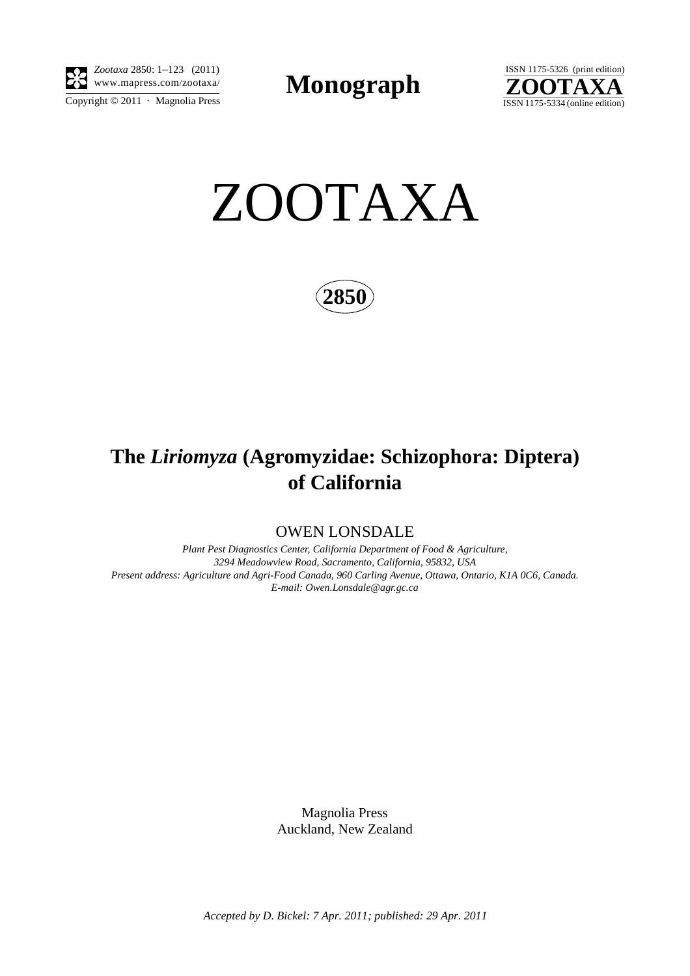

Copyright  $\odot$  2011 · Magnolia Press *Zootaxa* 2850: 1–123 (2011)

**Monograph** 



ZOOTAXA

**2850**

# **The** *Liriomyza* **(Agromyzidae: Schizophora: Diptera) of California**

OWEN LONSDALE

*Plant Pest Diagnostics Center, California Department of Food & Agriculture, 3294 Meadowview Road, Sacramento, California, 95832, USA Present address: Agriculture and Agri-Food Canada, 960 Carling Avenue, Ottawa, Ontario, K1A 0C6, Canada. E-mail: Owen.Lonsdale@agr.gc.ca*

> Magnolia Press Auckland, New Zealand

*Accepted by D. Bickel: 7 Apr. 2011; published: 29 Apr. 2011*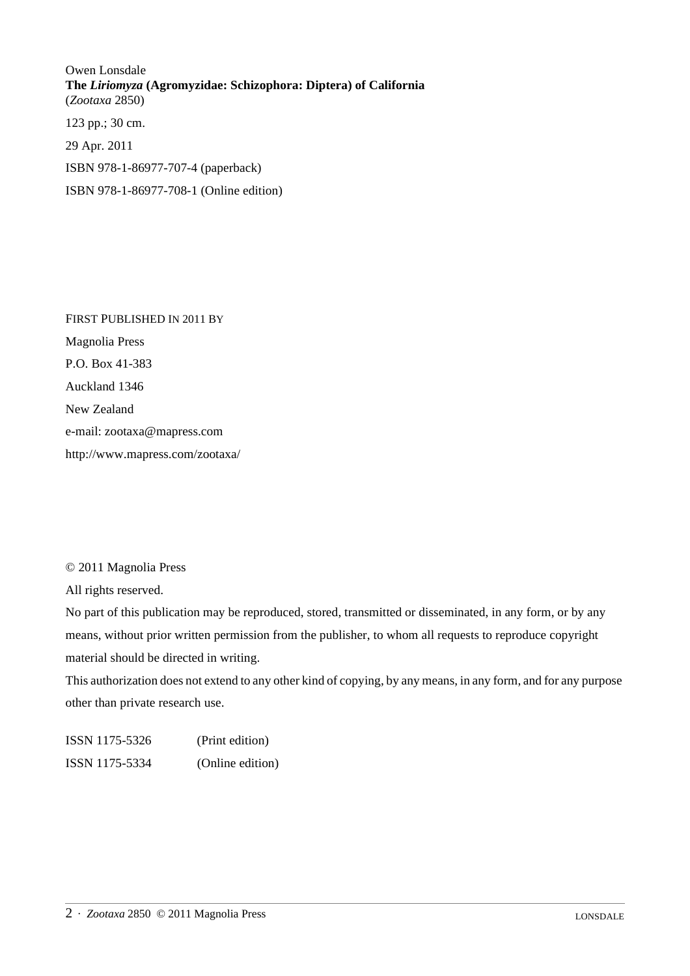Owen Lonsdale **The** *Liriomyza* **(Agromyzidae: Schizophora: Diptera) of California** (*Zootaxa* 2850) 123 pp.; 30 cm. 29 Apr. 2011

ISBN 978-1-86977-707-4 (paperback)

ISBN 978-1-86977-708-1 (Online edition)

FIRST PUBLISHED IN 2011 BY Magnolia Press P.O. Box 41-383 Auckland 1346 New Zealand e-mail: zootaxa@mapress.com http://www.mapress.com/zootaxa/

## © 2011 Magnolia Press

All rights reserved.

No part of this publication may be reproduced, stored, transmitted or disseminated, in any form, or by any means, without prior written permission from the publisher, to whom all requests to reproduce copyright material should be directed in writing.

This authorization does not extend to any other kind of copying, by any means, in any form, and for any purpose other than private research use.

ISSN 1175-5326 (Print edition) ISSN 1175-5334 (Online edition)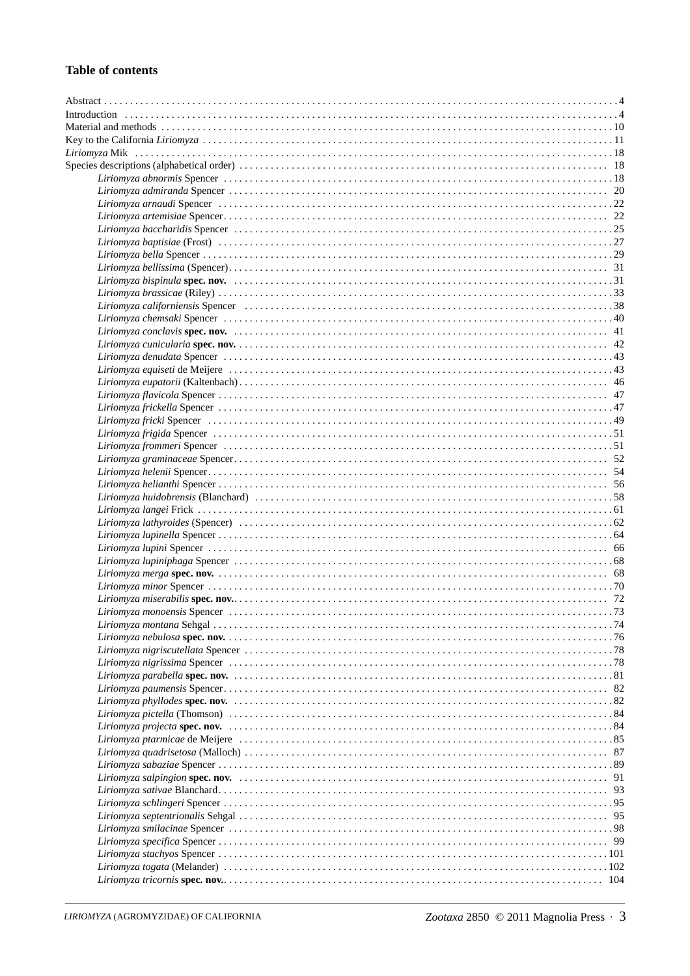# **Table of contents**

| Liriomyza californiensis Spencer (and all contained and all contained a state of 38 and 2011) |  |
|-----------------------------------------------------------------------------------------------|--|
|                                                                                               |  |
|                                                                                               |  |
|                                                                                               |  |
|                                                                                               |  |
|                                                                                               |  |
|                                                                                               |  |
|                                                                                               |  |
|                                                                                               |  |
|                                                                                               |  |
|                                                                                               |  |
|                                                                                               |  |
|                                                                                               |  |
|                                                                                               |  |
|                                                                                               |  |
|                                                                                               |  |
|                                                                                               |  |
|                                                                                               |  |
|                                                                                               |  |
|                                                                                               |  |
|                                                                                               |  |
|                                                                                               |  |
|                                                                                               |  |
|                                                                                               |  |
|                                                                                               |  |
|                                                                                               |  |
|                                                                                               |  |
|                                                                                               |  |
|                                                                                               |  |
|                                                                                               |  |
|                                                                                               |  |
|                                                                                               |  |
|                                                                                               |  |
|                                                                                               |  |
|                                                                                               |  |
|                                                                                               |  |
|                                                                                               |  |
|                                                                                               |  |
|                                                                                               |  |
|                                                                                               |  |
|                                                                                               |  |
|                                                                                               |  |
|                                                                                               |  |
|                                                                                               |  |